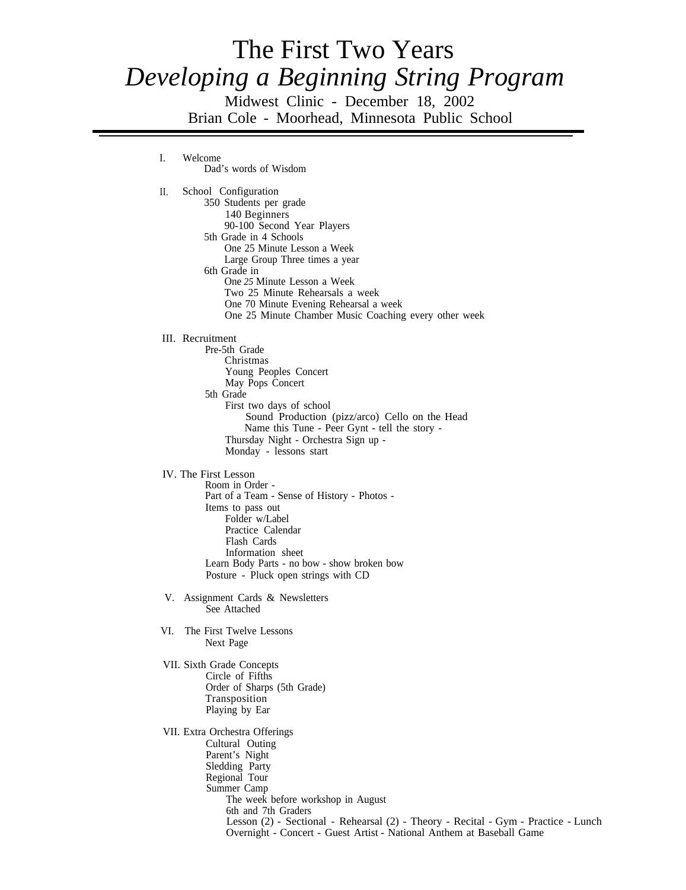# The First Two Years *Developing a Beginning String Program*

Midwest Clinic - December 18, 2002 Brian Cole - Moorhead, Minnesota Public School

I. Welcome Dad's words of Wisdom II. School Configuration 350 Students per grade 140 Beginners 90-100 Second Year Players 5th Grade in 4 Schools One 25 Minute Lesson a Week Large Group Three times a year 6th Grade in One *25* Minute Lesson a Week Two 25 Minute Rehearsals a week One 70 Minute Evening Rehearsal a week One 25 Minute Chamber Music Coaching every other week III. Recruitment Pre-5th Grade Christmas Young Peoples Concert May Pops Concert 5th Grade First two days of school Sound Production (pizz/arco) Cello on the Head Name this Tune - Peer Gynt - tell the story - Thursday Night - Orchestra Sign up - Monday - lessons start IV. The First Lesson Room in Order - Part of a Team - Sense of History - Photos - Items to pass out Folder w/Label Practice Calendar Flash Cards Information sheet Learn Body Parts - no bow - show broken bow Posture - Pluck open strings with CD V. Assignment Cards & Newsletters See Attached VI. The First Twelve Lessons Next Page VII. Sixth Grade Concepts Circle of Fifths Order of Sharps (5th Grade) Transposition Playing by Ear VII. Extra Orchestra Offerings Cultural Outing Parent's Night Sledding Party Regional Tour Summer Camp The week before workshop in August 6th and 7th Graders Lesson (2) - Sectional - Rehearsal (2) - Theory - Recital - Gym - Practice - Lunch Overnight - Concert - Guest Artist - National Anthem at Baseball Game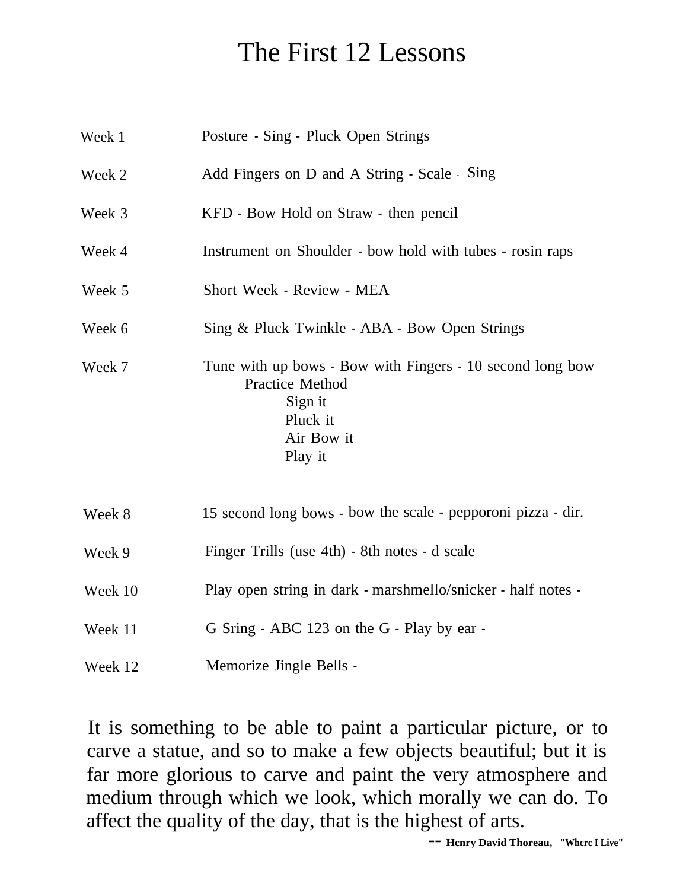## The First 12 Lessons

| Week 1  | Posture - Sing - Pluck Open Strings                                                                                                 |
|---------|-------------------------------------------------------------------------------------------------------------------------------------|
| Week 2  | Add Fingers on D and A String - Scale - Sing                                                                                        |
| Week 3  | KFD - Bow Hold on Straw - then pencil                                                                                               |
| Week 4  | Instrument on Shoulder - bow hold with tubes - rosin raps                                                                           |
| Week 5  | Short Week - Review - MEA                                                                                                           |
| Week 6  | Sing & Pluck Twinkle - ABA - Bow Open Strings                                                                                       |
| Week 7  | Tune with up bows - Bow with Fingers - 10 second long bow<br><b>Practice Method</b><br>Sign it<br>Pluck it<br>Air Bow it<br>Play it |
| Week 8  | 15 second long bows - bow the scale - pepporoni pizza - dir.                                                                        |
| Week 9  | Finger Trills (use 4th) - 8th notes - d scale                                                                                       |
| Week 10 | Play open string in dark - marshmello/snicker - half notes -                                                                        |
| Week 11 | G Sring - ABC 123 on the G - Play by ear -                                                                                          |
| Week 12 | Memorize Jingle Bells -                                                                                                             |

It is something to be able to paint a particular picture, or to carve a statue, and so to make a few objects beautiful; but it is far more glorious to carve and paint the very atmosphere and medium through which we look, which morally we can do. To affect the quality of the day, that is the highest of arts.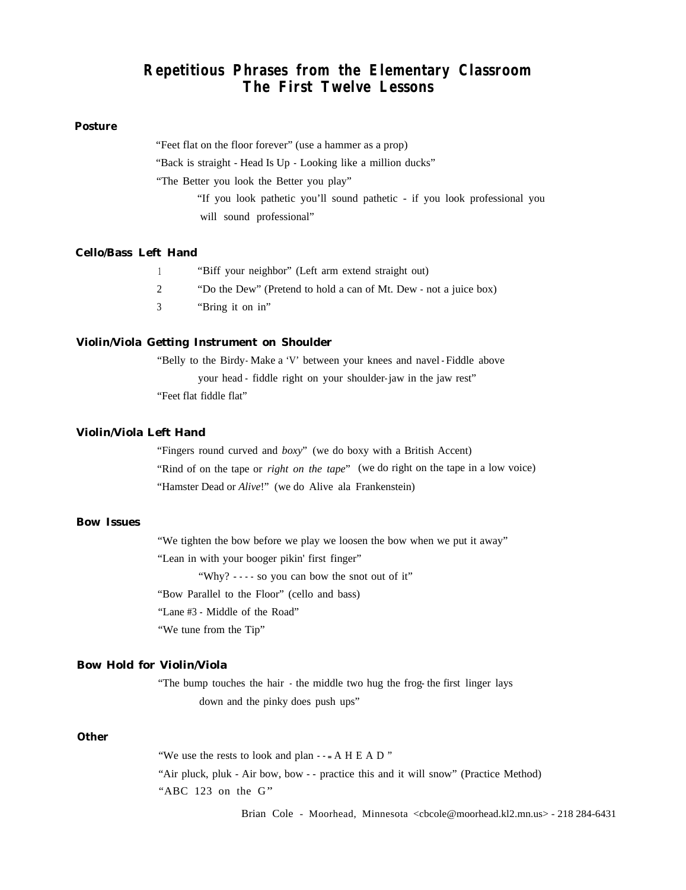### **Repetitious Phrases from the Elementary Classroom The First Twelve Lessons**

#### **Posture**

"Feet flat on the floor forever" (use a hammer as a prop)

"Back is straight - Head Is Up - Looking like a million ducks"

"The Better you look the Better you play"

"If you look pathetic you'll sound pathetic - if you look professional you will sound professional"

#### **Cello/Bass Left Hand**

| "Biff your neighbor" (Left arm extend straight out)               |
|-------------------------------------------------------------------|
| "Do the Dew" (Pretend to hold a can of Mt. Dew - not a juice box) |

3 "Bring it on in"

#### **Violin/Viola Getting Instrument on Shoulder**

"Belly to the Birdy-Make a 'V' between your knees and navel-Fiddle above your head - fiddle right on your shoulder- jaw in the jaw rest" "Feet flat fiddle flat"

#### **Violin/Viola Left Hand**

"Fingers round curved and *boxy*" (we do boxy with a British Accent) "Rind of on the tape or *right on the tape*" (we do right on the tape in a low voice) "Hamster Dead or *Alive*!" (we do Alive ala Frankenstein)

#### **Bow Issues**

"We tighten the bow before we play we loosen the bow when we put it away" "Lean in with your booger pikin' first finger" "Why? - - - - so you can bow the snot out of it" "Bow Parallel to the Floor" (cello and bass)

"Lane #3 - Middle of the Road"

"We tune from the Tip"

#### **Bow Hold for Violin/Viola**

"The bump touches the hair - the middle two hug the frog- the first linger lays down and the pinky does push ups"

#### **Other**

"We use the rests to look and plan - - - A H E A D" "Air pluck, pluk - Air bow, bow - - practice this and it will snow" (Practice Method) " $ABC$  123 on the  $G$ "

Brian Cole - Moorhead, Minnesota <cbcole@moorhead.kl2.mn.us> - 218 284-6431 284-6431